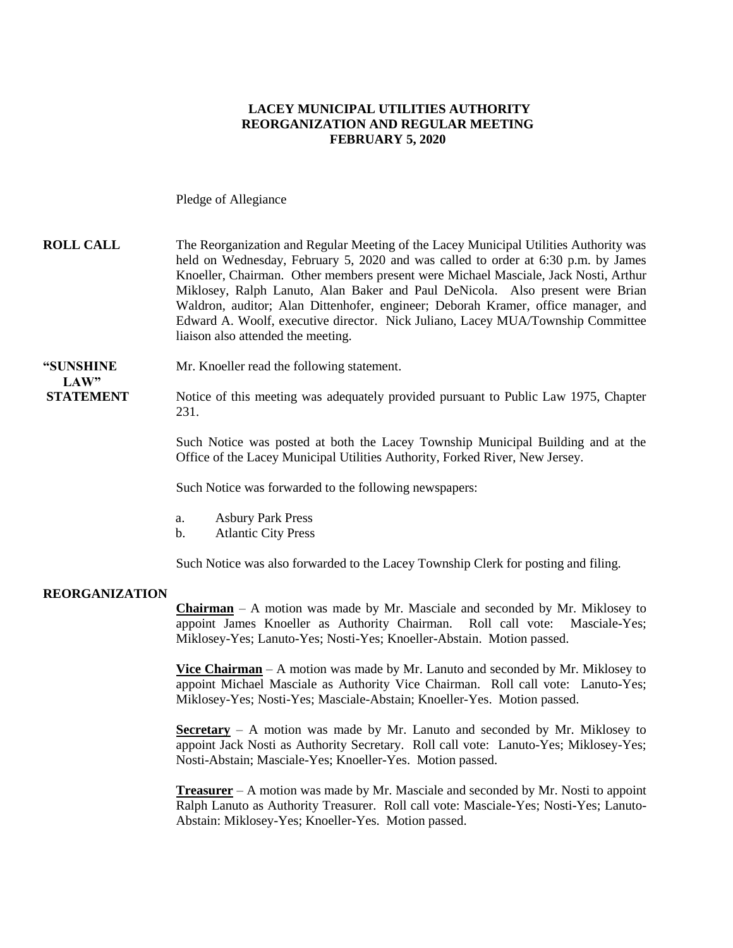### **LACEY MUNICIPAL UTILITIES AUTHORITY REORGANIZATION AND REGULAR MEETING FEBRUARY 5, 2020**

Pledge of Allegiance

### **ROLL CALL** The Reorganization and Regular Meeting of the Lacey Municipal Utilities Authority was held on Wednesday, February 5, 2020 and was called to order at 6:30 p.m. by James Knoeller, Chairman. Other members present were Michael Masciale, Jack Nosti, Arthur Miklosey, Ralph Lanuto, Alan Baker and Paul DeNicola. Also present were Brian Waldron, auditor; Alan Dittenhofer, engineer; Deborah Kramer, office manager, and Edward A. Woolf, executive director. Nick Juliano, Lacey MUA/Township Committee liaison also attended the meeting.

#### **"SUNSHINE** Mr. Knoeller read the following statement.

LAW"

**STATEMENT** Notice of this meeting was adequately provided pursuant to Public Law 1975, Chapter 231.

> Such Notice was posted at both the Lacey Township Municipal Building and at the Office of the Lacey Municipal Utilities Authority, Forked River, New Jersey.

Such Notice was forwarded to the following newspapers:

- a. Asbury Park Press
- b. Atlantic City Press

Such Notice was also forwarded to the Lacey Township Clerk for posting and filing.

#### **REORGANIZATION**

**Chairman** – A motion was made by Mr. Masciale and seconded by Mr. Miklosey to appoint James Knoeller as Authority Chairman. Roll call vote: Masciale-Yes; Miklosey-Yes; Lanuto-Yes; Nosti-Yes; Knoeller-Abstain. Motion passed.

**Vice Chairman** – A motion was made by Mr. Lanuto and seconded by Mr. Miklosey to appoint Michael Masciale as Authority Vice Chairman. Roll call vote: Lanuto-Yes; Miklosey-Yes; Nosti-Yes; Masciale-Abstain; Knoeller-Yes. Motion passed.

**Secretary** – A motion was made by Mr. Lanuto and seconded by Mr. Miklosey to appoint Jack Nosti as Authority Secretary. Roll call vote: Lanuto-Yes; Miklosey-Yes; Nosti-Abstain; Masciale-Yes; Knoeller-Yes. Motion passed.

**Treasurer** – A motion was made by Mr. Masciale and seconded by Mr. Nosti to appoint Ralph Lanuto as Authority Treasurer. Roll call vote: Masciale-Yes; Nosti-Yes; Lanuto-Abstain: Miklosey-Yes; Knoeller-Yes. Motion passed.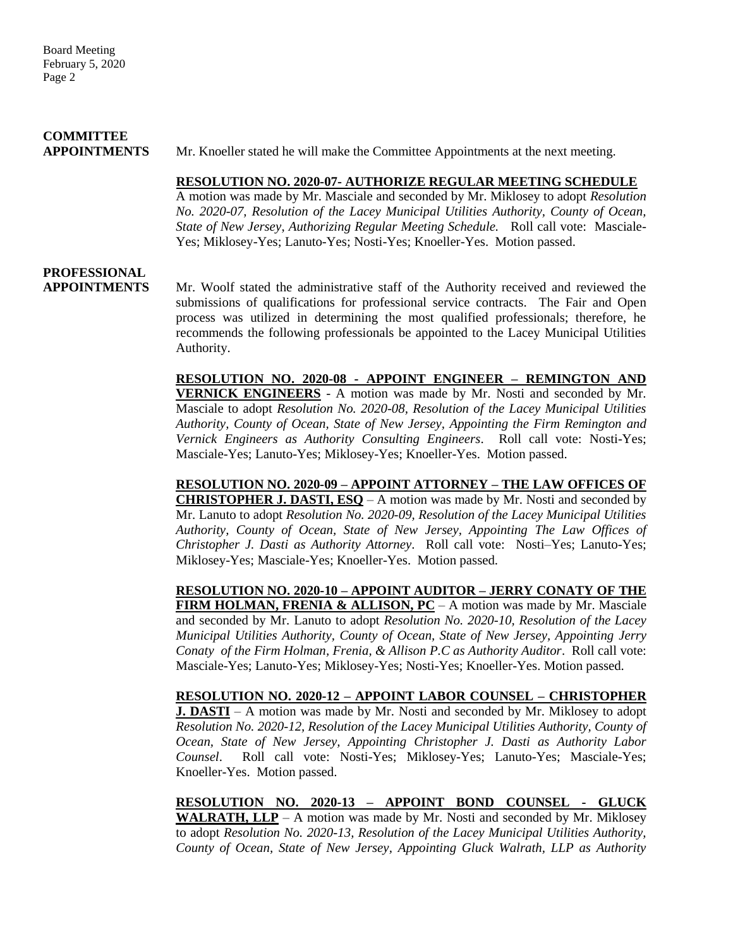## **COMMITTEE**

**APPOINTMENTS**Mr. Knoeller stated he will make the Committee Appointments at the next meeting.

#### **RESOLUTION NO. 2020-07- AUTHORIZE REGULAR MEETING SCHEDULE**

A motion was made by Mr. Masciale and seconded by Mr. Miklosey to adopt *Resolution No. 2020-07, Resolution of the Lacey Municipal Utilities Authority, County of Ocean, State of New Jersey*, *Authorizing Regular Meeting Schedule.* Roll call vote: Masciale-Yes; Miklosey-Yes; Lanuto-Yes; Nosti-Yes; Knoeller-Yes. Motion passed.

## **PROFESSIONAL**

**APPOINTMENTS** Mr. Woolf stated the administrative staff of the Authority received and reviewed the submissions of qualifications for professional service contracts. The Fair and Open process was utilized in determining the most qualified professionals; therefore, he recommends the following professionals be appointed to the Lacey Municipal Utilities Authority.

> **RESOLUTION NO. 2020-08 - APPOINT ENGINEER – REMINGTON AND VERNICK ENGINEERS** - A motion was made by Mr. Nosti and seconded by Mr. Masciale to adopt *Resolution No. 2020-08, Resolution of the Lacey Municipal Utilities Authority, County of Ocean, State of New Jersey, Appointing the Firm Remington and Vernick Engineers as Authority Consulting Engineers*. Roll call vote: Nosti-Yes; Masciale-Yes; Lanuto-Yes; Miklosey-Yes; Knoeller-Yes. Motion passed.

> **RESOLUTION NO. 2020-09 – APPOINT ATTORNEY – THE LAW OFFICES OF CHRISTOPHER J. DASTI, ESQ** – A motion was made by Mr. Nosti and seconded by Mr. Lanuto to adopt *Resolution No. 2020-09, Resolution of the Lacey Municipal Utilities Authority, County of Ocean, State of New Jersey, Appointing The Law Offices of Christopher J. Dasti as Authority Attorney*. Roll call vote: Nosti–Yes; Lanuto-Yes; Miklosey-Yes; Masciale-Yes; Knoeller-Yes. Motion passed.

> **RESOLUTION NO. 2020-10 – APPOINT AUDITOR – JERRY CONATY OF THE FIRM HOLMAN, FRENIA & ALLISON, PC** – A motion was made by Mr. Masciale and seconded by Mr. Lanuto to adopt *Resolution No. 2020-10, Resolution of the Lacey Municipal Utilities Authority, County of Ocean, State of New Jersey, Appointing Jerry Conaty of the Firm Holman, Frenia, & Allison P.C as Authority Auditor*. Roll call vote: Masciale-Yes; Lanuto-Yes; Miklosey-Yes; Nosti-Yes; Knoeller-Yes. Motion passed.

> **RESOLUTION NO. 2020-12 – APPOINT LABOR COUNSEL – CHRISTOPHER J. DASTI** – A motion was made by Mr. Nosti and seconded by Mr. Miklosey to adopt *Resolution No. 2020-12, Resolution of the Lacey Municipal Utilities Authority, County of Ocean, State of New Jersey, Appointing Christopher J. Dasti as Authority Labor Counsel*. Roll call vote: Nosti-Yes; Miklosey-Yes; Lanuto-Yes; Masciale-Yes; Knoeller-Yes. Motion passed.

> **RESOLUTION NO. 2020-13 – APPOINT BOND COUNSEL - GLUCK WALRATH, LLP** – A motion was made by Mr. Nosti and seconded by Mr. Miklosey to adopt *Resolution No. 2020-13, Resolution of the Lacey Municipal Utilities Authority, County of Ocean, State of New Jersey, Appointing Gluck Walrath, LLP as Authority*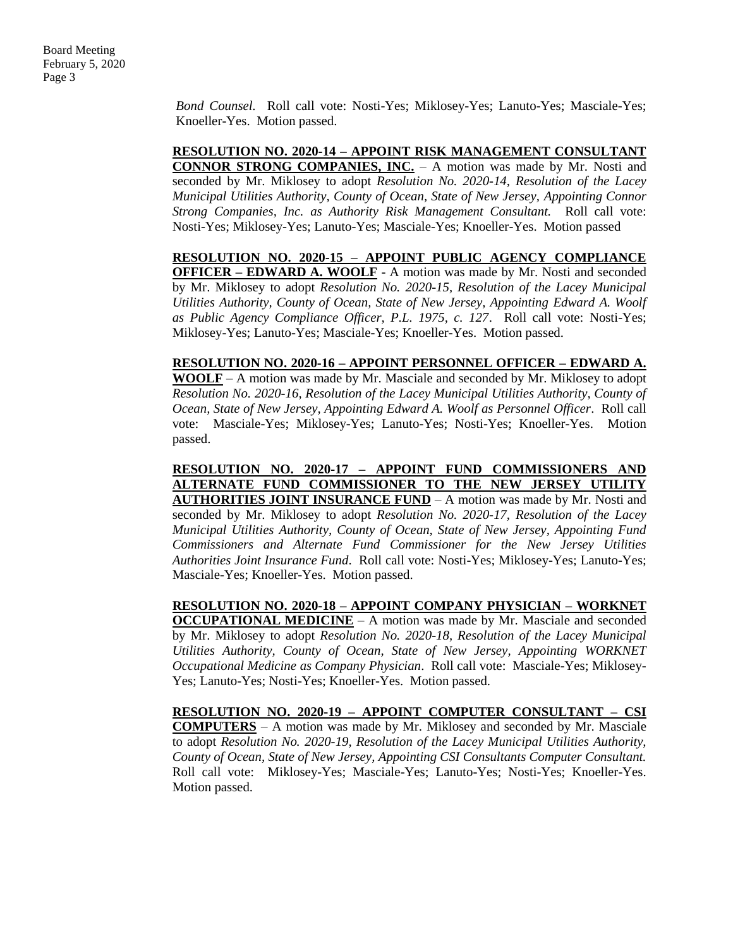*Bond Counsel.* Roll call vote: Nosti-Yes; Miklosey-Yes; Lanuto-Yes; Masciale-Yes; Knoeller-Yes. Motion passed.

**RESOLUTION NO. 2020-14 – APPOINT RISK MANAGEMENT CONSULTANT CONNOR STRONG COMPANIES, INC.** – A motion was made by Mr. Nosti and seconded by Mr. Miklosey to adopt *Resolution No. 2020-14, Resolution of the Lacey Municipal Utilities Authority, County of Ocean, State of New Jersey, Appointing Connor Strong Companies, Inc. as Authority Risk Management Consultant.* Roll call vote: Nosti-Yes; Miklosey-Yes; Lanuto-Yes; Masciale-Yes; Knoeller-Yes. Motion passed

**RESOLUTION NO. 2020-15 – APPOINT PUBLIC AGENCY COMPLIANCE OFFICER – EDWARD A. WOOLF** - A motion was made by Mr. Nosti and seconded by Mr. Miklosey to adopt *Resolution No. 2020-15, Resolution of the Lacey Municipal Utilities Authority, County of Ocean, State of New Jersey, Appointing Edward A. Woolf as Public Agency Compliance Officer, P.L. 1975, c. 127*. Roll call vote: Nosti-Yes; Miklosey-Yes; Lanuto-Yes; Masciale-Yes; Knoeller-Yes. Motion passed.

**RESOLUTION NO. 2020-16 – APPOINT PERSONNEL OFFICER – EDWARD A. WOOLF** – A motion was made by Mr. Masciale and seconded by Mr. Miklosey to adopt *Resolution No. 2020-16, Resolution of the Lacey Municipal Utilities Authority, County of Ocean, State of New Jersey, Appointing Edward A. Woolf as Personnel Officer*. Roll call vote: Masciale-Yes; Miklosey-Yes; Lanuto-Yes; Nosti-Yes; Knoeller-Yes. Motion passed.

**RESOLUTION NO. 2020-17 – APPOINT FUND COMMISSIONERS AND ALTERNATE FUND COMMISSIONER TO THE NEW JERSEY UTILITY AUTHORITIES JOINT INSURANCE FUND** – A motion was made by Mr. Nosti and seconded by Mr. Miklosey to adopt *Resolution No. 2020-17, Resolution of the Lacey Municipal Utilities Authority, County of Ocean, State of New Jersey, Appointing Fund Commissioners and Alternate Fund Commissioner for the New Jersey Utilities Authorities Joint Insurance Fund*. Roll call vote: Nosti-Yes; Miklosey-Yes; Lanuto-Yes; Masciale-Yes; Knoeller-Yes. Motion passed.

**RESOLUTION NO. 2020-18 – APPOINT COMPANY PHYSICIAN – WORKNET OCCUPATIONAL MEDICINE** – A motion was made by Mr. Masciale and seconded by Mr. Miklosey to adopt *Resolution No. 2020-18, Resolution of the Lacey Municipal Utilities Authority, County of Ocean, State of New Jersey, Appointing WORKNET Occupational Medicine as Company Physician*. Roll call vote: Masciale-Yes; Miklosey-Yes; Lanuto-Yes; Nosti-Yes; Knoeller-Yes. Motion passed.

**RESOLUTION NO. 2020-19 – APPOINT COMPUTER CONSULTANT – CSI COMPUTERS** – A motion was made by Mr. Miklosey and seconded by Mr. Masciale to adopt *Resolution No. 2020-19, Resolution of the Lacey Municipal Utilities Authority, County of Ocean, State of New Jersey, Appointing CSI Consultants Computer Consultant.* Roll call vote: Miklosey-Yes; Masciale-Yes; Lanuto-Yes; Nosti-Yes; Knoeller-Yes. Motion passed.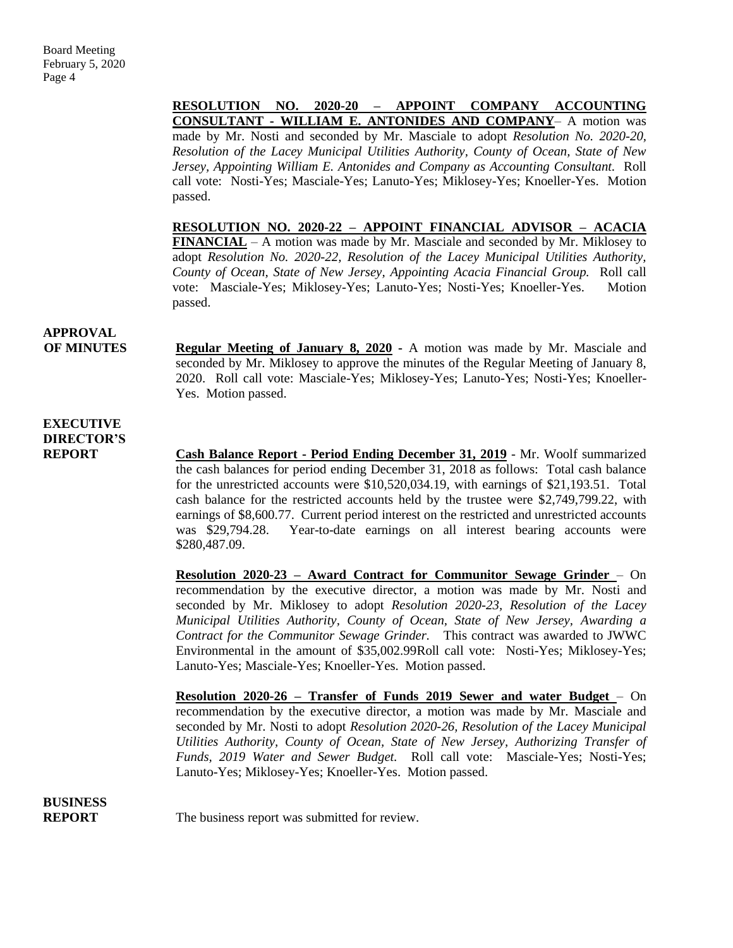**RESOLUTION NO. 2020-20 – APPOINT COMPANY ACCOUNTING CONSULTANT - WILLIAM E. ANTONIDES AND COMPANY**– A motion was made by Mr. Nosti and seconded by Mr. Masciale to adopt *Resolution No. 2020-20, Resolution of the Lacey Municipal Utilities Authority, County of Ocean, State of New Jersey, Appointing William E. Antonides and Company as Accounting Consultant.* Roll call vote: Nosti-Yes; Masciale-Yes; Lanuto-Yes; Miklosey-Yes; Knoeller-Yes. Motion passed.

**RESOLUTION NO. 2020-22 – APPOINT FINANCIAL ADVISOR – ACACIA FINANCIAL** – A motion was made by Mr. Masciale and seconded by Mr. Miklosey to adopt *Resolution No. 2020-22, Resolution of the Lacey Municipal Utilities Authority, County of Ocean, State of New Jersey, Appointing Acacia Financial Group.* Roll call vote: Masciale-Yes; Miklosey-Yes; Lanuto-Yes; Nosti-Yes; Knoeller-Yes. Motion passed.

## **APPROVAL**

**OF MINUTES Regular Meeting of January 8, 2020 -** A motion was made by Mr. Masciale and seconded by Mr. Miklosey to approve the minutes of the Regular Meeting of January 8, 2020. Roll call vote: Masciale-Yes; Miklosey-Yes; Lanuto-Yes; Nosti-Yes; Knoeller-Yes. Motion passed.

### **EXECUTIVE DIRECTOR'S**

**REPORT Cash Balance Report - Period Ending December 31, 2019** - Mr. Woolf summarized the cash balances for period ending December 31, 2018 as follows: Total cash balance for the unrestricted accounts were \$10,520,034.19, with earnings of \$21,193.51. Total cash balance for the restricted accounts held by the trustee were \$2,749,799.22, with earnings of \$8,600.77. Current period interest on the restricted and unrestricted accounts was \$29,794.28. Year-to-date earnings on all interest bearing accounts were \$280,487.09.

> **Resolution 2020-23 – Award Contract for Communitor Sewage Grinder** – On recommendation by the executive director, a motion was made by Mr. Nosti and seconded by Mr. Miklosey to adopt *Resolution 2020-23, Resolution of the Lacey Municipal Utilities Authority, County of Ocean, State of New Jersey, Awarding a Contract for the Communitor Sewage Grinder.* This contract was awarded to JWWC Environmental in the amount of \$35,002.99Roll call vote: Nosti-Yes; Miklosey-Yes; Lanuto-Yes; Masciale-Yes; Knoeller-Yes. Motion passed.

> **Resolution 2020-26 – Transfer of Funds 2019 Sewer and water Budget** – On recommendation by the executive director, a motion was made by Mr. Masciale and seconded by Mr. Nosti to adopt *Resolution 2020-26, Resolution of the Lacey Municipal Utilities Authority, County of Ocean, State of New Jersey, Authorizing Transfer of Funds, 2019 Water and Sewer Budget.* Roll call vote: Masciale-Yes; Nosti-Yes; Lanuto-Yes; Miklosey-Yes; Knoeller-Yes. Motion passed.

**BUSINESS**

**REPORT** The business report was submitted for review.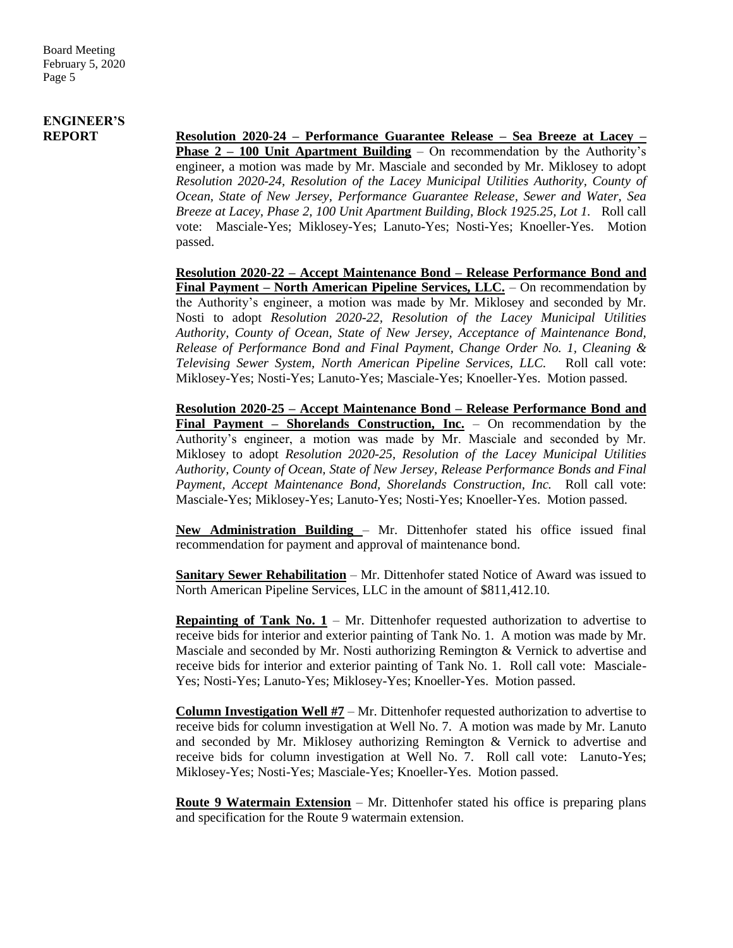## **ENGINEER'S**

**REPORT Resolution 2020-24 – Performance Guarantee Release – Sea Breeze at Lacey – Phase 2 – 100 Unit Apartment Building** – On recommendation by the Authority's engineer, a motion was made by Mr. Masciale and seconded by Mr. Miklosey to adopt *Resolution 2020-24, Resolution of the Lacey Municipal Utilities Authority, County of Ocean, State of New Jersey, Performance Guarantee Release, Sewer and Water, Sea Breeze at Lacey, Phase 2, 100 Unit Apartment Building, Block 1925.25, Lot 1.* Roll call vote: Masciale-Yes; Miklosey-Yes; Lanuto-Yes; Nosti-Yes; Knoeller-Yes. Motion passed.

> **Resolution 2020-22 – Accept Maintenance Bond – Release Performance Bond and Final Payment – North American Pipeline Services, LLC.** – On recommendation by the Authority's engineer, a motion was made by Mr. Miklosey and seconded by Mr. Nosti to adopt *Resolution 2020-22, Resolution of the Lacey Municipal Utilities Authority, County of Ocean, State of New Jersey, Acceptance of Maintenance Bond, Release of Performance Bond and Final Payment, Change Order No. 1, Cleaning & Televising Sewer System, North American Pipeline Services, LLC.* Roll call vote: Miklosey-Yes; Nosti-Yes; Lanuto-Yes; Masciale-Yes; Knoeller-Yes. Motion passed.

> **Resolution 2020-25 – Accept Maintenance Bond – Release Performance Bond and Final Payment – Shorelands Construction, Inc.** – On recommendation by the Authority's engineer, a motion was made by Mr. Masciale and seconded by Mr. Miklosey to adopt *Resolution 2020-25, Resolution of the Lacey Municipal Utilities Authority, County of Ocean, State of New Jersey, Release Performance Bonds and Final Payment, Accept Maintenance Bond, Shorelands Construction, Inc.* Roll call vote: Masciale-Yes; Miklosey-Yes; Lanuto-Yes; Nosti-Yes; Knoeller-Yes. Motion passed.

> **New Administration Building** – Mr. Dittenhofer stated his office issued final recommendation for payment and approval of maintenance bond.

> **Sanitary Sewer Rehabilitation** – Mr. Dittenhofer stated Notice of Award was issued to North American Pipeline Services, LLC in the amount of \$811,412.10.

> **Repainting of Tank No. 1** – Mr. Dittenhofer requested authorization to advertise to receive bids for interior and exterior painting of Tank No. 1. A motion was made by Mr. Masciale and seconded by Mr. Nosti authorizing Remington & Vernick to advertise and receive bids for interior and exterior painting of Tank No. 1. Roll call vote: Masciale-Yes; Nosti-Yes; Lanuto-Yes; Miklosey-Yes; Knoeller-Yes. Motion passed.

> **Column Investigation Well #7** – Mr. Dittenhofer requested authorization to advertise to receive bids for column investigation at Well No. 7. A motion was made by Mr. Lanuto and seconded by Mr. Miklosey authorizing Remington & Vernick to advertise and receive bids for column investigation at Well No. 7. Roll call vote: Lanuto-Yes; Miklosey-Yes; Nosti-Yes; Masciale-Yes; Knoeller-Yes. Motion passed.

> **Route 9 Watermain Extension** – Mr. Dittenhofer stated his office is preparing plans and specification for the Route 9 watermain extension.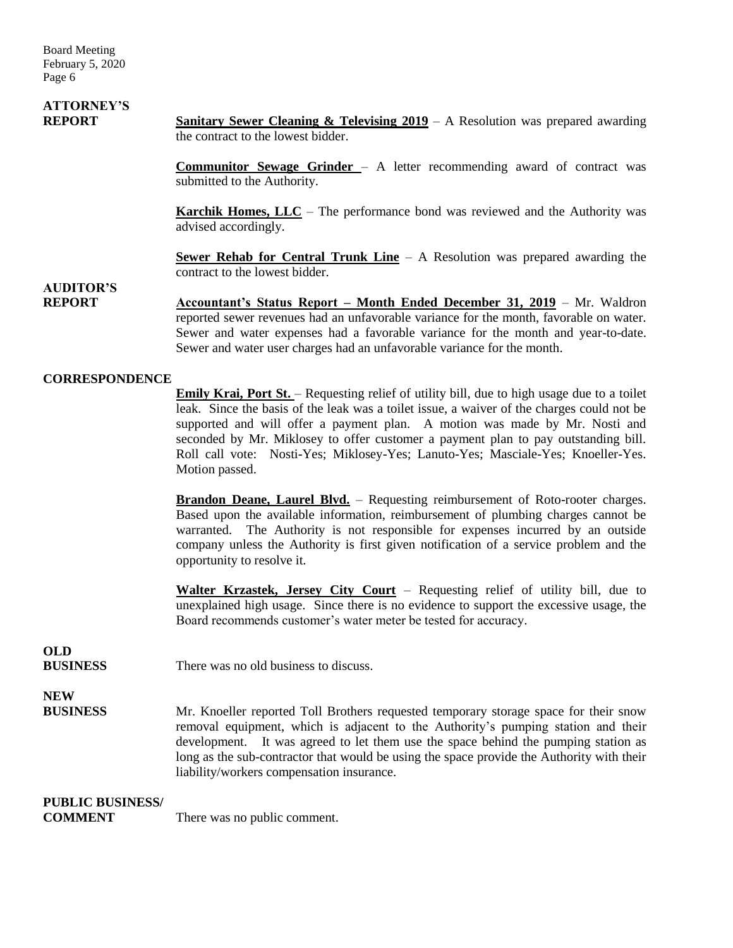Board Meeting February 5, 2020 Page 6

# **ATTORNEY'S**

**REPORT Sanitary Sewer Cleaning & Televising 2019** – A Resolution was prepared awarding the contract to the lowest bidder.

> **Communitor Sewage Grinder** – A letter recommending award of contract was submitted to the Authority.

> **Karchik Homes, LLC** – The performance bond was reviewed and the Authority was advised accordingly.

> **Sewer Rehab for Central Trunk Line** – A Resolution was prepared awarding the contract to the lowest bidder.

### **AUDITOR'S**

**REPORT Accountant's Status Report – Month Ended December 31, 2019** – Mr. Waldron reported sewer revenues had an unfavorable variance for the month, favorable on water. Sewer and water expenses had a favorable variance for the month and year-to-date. Sewer and water user charges had an unfavorable variance for the month.

### **CORRESPONDENCE**

**Emily Krai, Port St.** – Requesting relief of utility bill, due to high usage due to a toilet leak. Since the basis of the leak was a toilet issue, a waiver of the charges could not be supported and will offer a payment plan. A motion was made by Mr. Nosti and seconded by Mr. Miklosey to offer customer a payment plan to pay outstanding bill. Roll call vote: Nosti-Yes; Miklosey-Yes; Lanuto-Yes; Masciale-Yes; Knoeller-Yes. Motion passed.

**Brandon Deane, Laurel Blvd.** – Requesting reimbursement of Roto-rooter charges. Based upon the available information, reimbursement of plumbing charges cannot be warranted. The Authority is not responsible for expenses incurred by an outside company unless the Authority is first given notification of a service problem and the opportunity to resolve it.

**Walter Krzastek, Jersey City Court** – Requesting relief of utility bill, due to unexplained high usage. Since there is no evidence to support the excessive usage, the Board recommends customer's water meter be tested for accuracy.

## **OLD**

**BUSINESS** There was no old business to discuss.

### **NEW**

**BUSINESS** Mr. Knoeller reported Toll Brothers requested temporary storage space for their snow removal equipment, which is adjacent to the Authority's pumping station and their development. It was agreed to let them use the space behind the pumping station as long as the sub-contractor that would be using the space provide the Authority with their liability/workers compensation insurance.

### **PUBLIC BUSINESS/**

**COMMENT** There was no public comment.